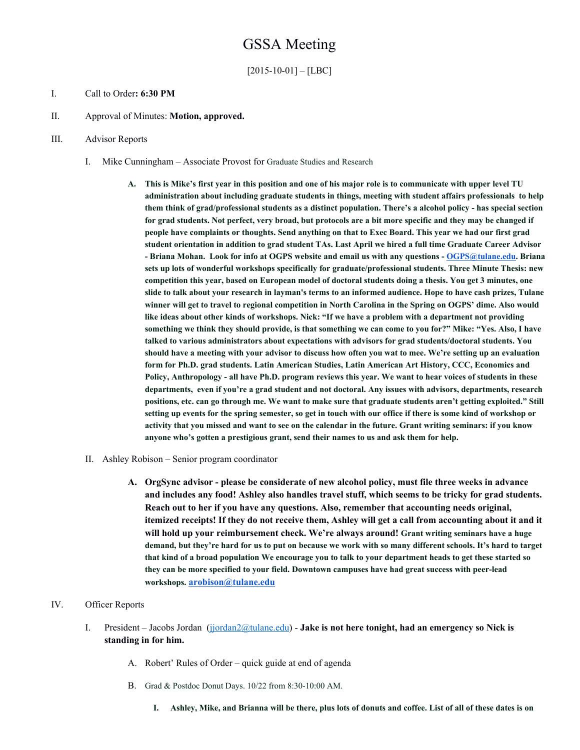# GSSA Meeting

 $[2015-10-01] - [LBC]$ 

### I. Call to Order**: 6:30 PM**

II. Approval of Minutes: **Motion, approved.**

### III. Advisor Reports

- I. Mike Cunningham Associate Provost for Graduate Studies and Research
	- A. This is Mike's first year in this position and one of his major role is to communicate with upper level TU **administration about including graduate students in things, meeting with student affairs professionals to help them think of grad/professional students as a distinct population. There's a alcohol policy has special section** for grad students. Not perfect, very broad, but protocols are a bit more specific and they may be changed if people have complaints or thoughts. Send anything on that to Exec Board. This year we had our first grad student orientation in addition to grad student TAs. Last April we hired a full time Graduate Career Advisor **Briana Mohan. Look for info at OGPS website and email us with any questions [OGPS@tulane.edu](mailto:OGPS@tulane.edu). Briana sets up lots of wonderful workshops specifically for graduate/professional students. Three Minute Thesis: new** competition this year, based on European model of doctoral students doing a thesis. You get 3 minutes, one slide to talk about your research in layman's terms to an informed audience. Hope to have cash prizes, Tulane winner will get to travel to regional competition in North Carolina in the Spring on OGPS' dime. Also would like ideas about other kinds of workshops. Nick: "If we have a problem with a department not providing something we think they should provide, is that something we can come to you for?" Mike: "Yes. Also, I have **talked to various administrators about expectations with advisors for grad students/doctoral students. You** should have a meeting with your advisor to discuss how often you wat to mee. We're setting up an evaluation **form for Ph.D. grad students. Latin American Studies, Latin American Art History, CCC, Economics and** Policy, Anthropology - all have Ph.D. program reviews this year. We want to hear voices of students in these **departments, even if you're a grad student and not doctoral. Any issues with advisors, departments, research** positions, etc. can go through me. We want to make sure that graduate students aren't getting exploited." Still setting up events for the spring semester, so get in touch with our office if there is some kind of workshop or activity that you missed and want to see on the calendar in the future. Grant writing seminars: if you know **anyone who's gotten a prestigious grant, send their names to us and ask them for help.**
- II. Ashley Robison Senior program coordinator
	- **A. OrgSync advisor please be considerate of new alcohol policy, must file three weeks in advance and includes any food! Ashley also handles travel stuff, which seems to be tricky for grad students. Reach out to her if you have any questions. Also, remember that accounting needs original,** itemized receipts! If they do not receive them, Ashley will get a call from accounting about it and it **will hold up your reimbursement check. We're always around! Grant writing seminars have a huge** demand, but they're hard for us to put on because we work with so many different schools. It's hard to target that kind of a broad population We encourage you to talk to your department heads to get these started so **they can be more specified to your field. Downtown campuses have had great success with peerlead workshops.[arobison@tulane.edu](mailto:arobison@tulane.edu)**

# IV. Officer Reports

- I. President Jacobs Jordan [\(jjordan2@tulane.edu\)](mailto:jjordan2@tulane.edu) **Jake is not here tonight, had an emergency so Nick is standing in for him.**
	- A. Robert' Rules of Order quick guide at end of agenda
	- B. Grad & Postdoc Donut Days. 10/22 from 8:30-10:00 AM.
		- I. Ashley, Mike, and Brianna will be there, plus lots of donuts and coffee. List of all of these dates is on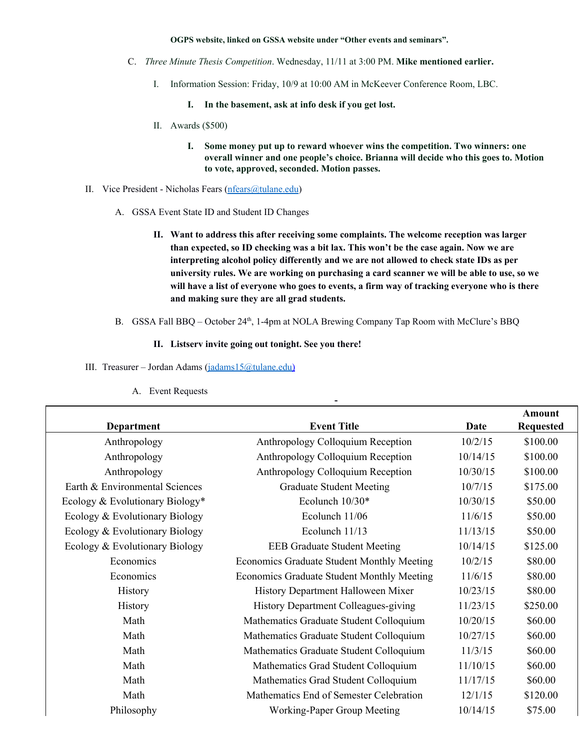#### **OGPS website, linked on GSSA website under "Other events and seminars".**

- C. *Three Minute Thesis Competition*. Wednesday, 11/11 at 3:00 PM. **Mike mentioned earlier.**
	- I. Information Session: Friday, 10/9 at 10:00 AM in McKeever Conference Room, LBC.
		- **I. In the basement, ask at info desk if you get lost.**
	- II. Awards (\$500)
		- **I. Some money put up to reward whoever wins the competition. Two winners: one overall winner and one people's choice. Brianna will decide who this goes to. Motion to vote, approved, seconded. Motion passes.**
- II. Vice President Nicholas Fears [\(nfears@tulane.edu\)](mailto:nfears@tulane.edu)
	- A. GSSA Event State ID and Student ID Changes
		- **II. Want to address this after receiving some complaints. The welcome reception was larger than expected, so ID checking was a bit lax. This won't be the case again. Now we are interpreting alcohol policy differently and we are not allowed to check state IDs as per university rules. We are working on purchasing a card scanner we will be able to use, so we** will have a list of everyone who goes to events, a firm way of tracking everyone who is there **and making sure they are all grad students.**
	- B. GSSA Fall BBQ October 24<sup>th</sup>, 1-4pm at NOLA Brewing Company Tap Room with McClure's BBQ

 $\overline{\phantom{a}}$ 

# **II. Listserv invite going out tonight. See you there!**

III. Treasurer – Jordan Adams [\(jadams15@tulane.edu\)](mailto:jadams15@tulane.edu)

|                                 |                                            |          | <b>Amount</b>    |
|---------------------------------|--------------------------------------------|----------|------------------|
| Department                      | <b>Event Title</b>                         | Date     | <b>Requested</b> |
| Anthropology                    | Anthropology Colloquium Reception          | 10/2/15  | \$100.00         |
| Anthropology                    | Anthropology Colloquium Reception          | 10/14/15 | \$100.00         |
| Anthropology                    | Anthropology Colloquium Reception          | 10/30/15 | \$100.00         |
| Earth & Environmental Sciences  | <b>Graduate Student Meeting</b>            | 10/7/15  | \$175.00         |
| Ecology & Evolutionary Biology* | Ecolunch 10/30*                            | 10/30/15 | \$50.00          |
| Ecology & Evolutionary Biology  | Ecolunch 11/06                             | 11/6/15  | \$50.00          |
| Ecology & Evolutionary Biology  | Ecolunch 11/13                             | 11/13/15 | \$50.00          |
| Ecology & Evolutionary Biology  | <b>EEB Graduate Student Meeting</b>        | 10/14/15 | \$125.00         |
| Economics                       | Economics Graduate Student Monthly Meeting | 10/2/15  | \$80.00          |
| Economics                       | Economics Graduate Student Monthly Meeting | 11/6/15  | \$80.00          |
| <b>History</b>                  | History Department Halloween Mixer         | 10/23/15 | \$80.00          |
| History                         | History Department Colleagues-giving       | 11/23/15 | \$250.00         |
| Math                            | Mathematics Graduate Student Colloquium    | 10/20/15 | \$60.00          |
| Math                            | Mathematics Graduate Student Colloquium    | 10/27/15 | \$60.00          |
| Math                            | Mathematics Graduate Student Colloquium    | 11/3/15  | \$60.00          |
| Math                            | Mathematics Grad Student Colloquium        | 11/10/15 | \$60.00          |
| Math                            | Mathematics Grad Student Colloquium        | 11/17/15 | \$60.00          |
| Math                            | Mathematics End of Semester Celebration    | 12/1/15  | \$120.00         |
| Philosophy                      | Working-Paper Group Meeting                | 10/14/15 | \$75.00          |

A. Event Requests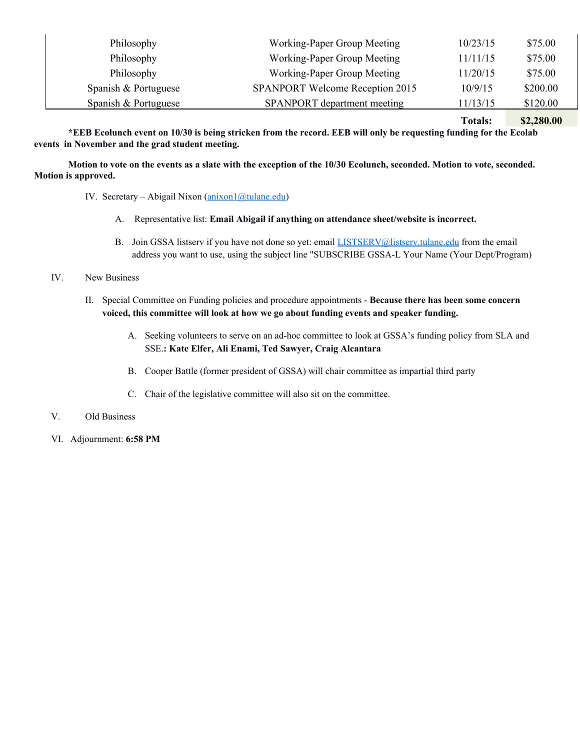| Philosophy           | Working-Paper Group Meeting            | 10/23/15 | \$75.00  |
|----------------------|----------------------------------------|----------|----------|
| Philosophy           | Working-Paper Group Meeting            | 11/11/15 | \$75.00  |
| Philosophy           | Working-Paper Group Meeting            | 11/20/15 | \$75.00  |
| Spanish & Portuguese | <b>SPANPORT Welcome Reception 2015</b> | 10/9/15  | \$200.00 |
| Spanish & Portuguese | SPANPORT department meeting            | 11/13/15 | \$120.00 |

**Totals: \$2,280.00**

\*EEB Ecolunch event on 10/30 is being stricken from the record. EEB will only be requesting funding for the Ecolab **events in November and the grad student meeting.**

Motion to vote on the events as a slate with the exception of the 10/30 Ecolunch, seconded. Motion to vote, seconded. **Motion is approved.**

- IV. Secretary Abigail Nixon  $(\frac{anixon1}{\omega}tulane.edu)$ 
	- A. Representative list: **Email Abigail if anything on attendance sheet/website is incorrect.**
	- B. Join GSSA listserv if you have not done so yet: email [LISTSERV@listserv.tulane.edu](mailto:LISTSERV@listserv.tulane.edu) from the email address you want to use, using the subject line "SUBSCRIBE GSSAL Your Name (Your Dept/Program)
- IV. New Business
	- II. Special Committee on Funding policies and procedure appointments **Because there has been some concern voiced, this committee will look at how we go about funding events and speaker funding.**
		- A. Seeking volunteers to serve on an ad-hoc committee to look at GSSA's funding policy from SLA and SSE.**: Kate Elfer, Ali Enami, Ted Sawyer, Craig Alcantara**
		- B. Cooper Battle (former president of GSSA) will chair committee as impartial third party
		- C. Chair of the legislative committee will also sit on the committee.
- V. Old Business
- VI. Adjournment: **6:58 PM**